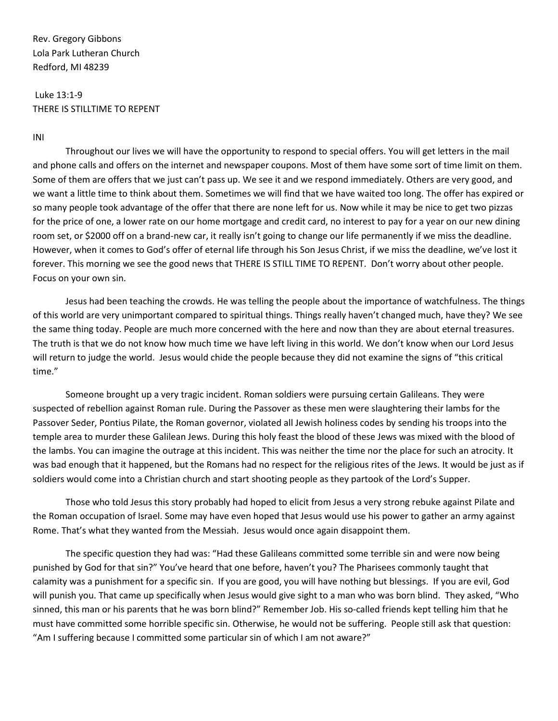Rev. Gregory Gibbons Lola Park Lutheran Church Redford, MI 48239

## Luke 13:1-9 THERE IS STILLTIME TO REPENT

## INI

Throughout our lives we will have the opportunity to respond to special offers. You will get letters in the mail and phone calls and offers on the internet and newspaper coupons. Most of them have some sort of time limit on them. Some of them are offers that we just can't pass up. We see it and we respond immediately. Others are very good, and we want a little time to think about them. Sometimes we will find that we have waited too long. The offer has expired or so many people took advantage of the offer that there are none left for us. Now while it may be nice to get two pizzas for the price of one, a lower rate on our home mortgage and credit card, no interest to pay for a year on our new dining room set, or \$2000 off on a brand-new car, it really isn't going to change our life permanently if we miss the deadline. However, when it comes to God's offer of eternal life through his Son Jesus Christ, if we miss the deadline, we've lost it forever. This morning we see the good news that THERE IS STILL TIME TO REPENT. Don't worry about other people. Focus on your own sin.

Jesus had been teaching the crowds. He was telling the people about the importance of watchfulness. The things of this world are very unimportant compared to spiritual things. Things really haven't changed much, have they? We see the same thing today. People are much more concerned with the here and now than they are about eternal treasures. The truth is that we do not know how much time we have left living in this world. We don't know when our Lord Jesus will return to judge the world. Jesus would chide the people because they did not examine the signs of "this critical time."

Someone brought up a very tragic incident. Roman soldiers were pursuing certain Galileans. They were suspected of rebellion against Roman rule. During the Passover as these men were slaughtering their lambs for the Passover Seder, Pontius Pilate, the Roman governor, violated all Jewish holiness codes by sending his troops into the temple area to murder these Galilean Jews. During this holy feast the blood of these Jews was mixed with the blood of the lambs. You can imagine the outrage at this incident. This was neither the time nor the place for such an atrocity. It was bad enough that it happened, but the Romans had no respect for the religious rites of the Jews. It would be just as if soldiers would come into a Christian church and start shooting people as they partook of the Lord's Supper.

Those who told Jesus this story probably had hoped to elicit from Jesus a very strong rebuke against Pilate and the Roman occupation of Israel. Some may have even hoped that Jesus would use his power to gather an army against Rome. That's what they wanted from the Messiah. Jesus would once again disappoint them.

The specific question they had was: "Had these Galileans committed some terrible sin and were now being punished by God for that sin?" You've heard that one before, haven't you? The Pharisees commonly taught that calamity was a punishment for a specific sin. If you are good, you will have nothing but blessings. If you are evil, God will punish you. That came up specifically when Jesus would give sight to a man who was born blind. They asked, "Who sinned, this man or his parents that he was born blind?" Remember Job. His so-called friends kept telling him that he must have committed some horrible specific sin. Otherwise, he would not be suffering. People still ask that question: "Am I suffering because I committed some particular sin of which I am not aware?"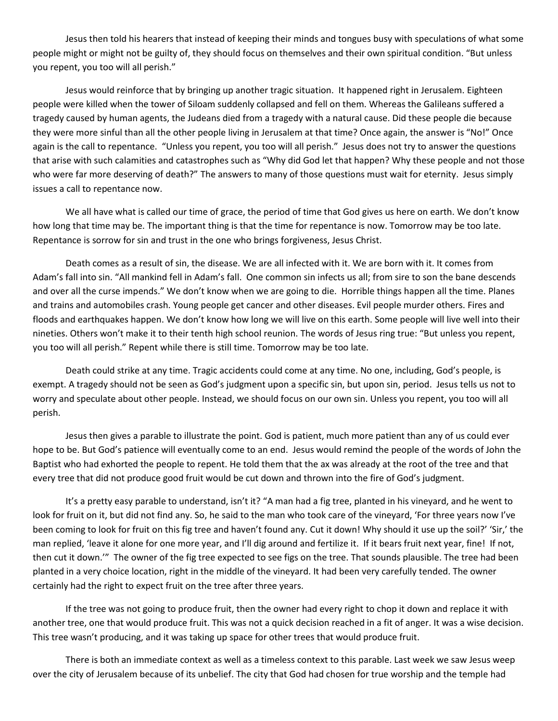Jesus then told his hearers that instead of keeping their minds and tongues busy with speculations of what some people might or might not be guilty of, they should focus on themselves and their own spiritual condition. "But unless you repent, you too will all perish."

Jesus would reinforce that by bringing up another tragic situation. It happened right in Jerusalem. Eighteen people were killed when the tower of Siloam suddenly collapsed and fell on them. Whereas the Galileans suffered a tragedy caused by human agents, the Judeans died from a tragedy with a natural cause. Did these people die because they were more sinful than all the other people living in Jerusalem at that time? Once again, the answer is "No!" Once again is the call to repentance. "Unless you repent, you too will all perish." Jesus does not try to answer the questions that arise with such calamities and catastrophes such as "Why did God let that happen? Why these people and not those who were far more deserving of death?" The answers to many of those questions must wait for eternity. Jesus simply issues a call to repentance now.

We all have what is called our time of grace, the period of time that God gives us here on earth. We don't know how long that time may be. The important thing is that the time for repentance is now. Tomorrow may be too late. Repentance is sorrow for sin and trust in the one who brings forgiveness, Jesus Christ.

Death comes as a result of sin, the disease. We are all infected with it. We are born with it. It comes from Adam's fall into sin. "All mankind fell in Adam's fall. One common sin infects us all; from sire to son the bane descends and over all the curse impends." We don't know when we are going to die. Horrible things happen all the time. Planes and trains and automobiles crash. Young people get cancer and other diseases. Evil people murder others. Fires and floods and earthquakes happen. We don't know how long we will live on this earth. Some people will live well into their nineties. Others won't make it to their tenth high school reunion. The words of Jesus ring true: "But unless you repent, you too will all perish." Repent while there is still time. Tomorrow may be too late.

Death could strike at any time. Tragic accidents could come at any time. No one, including, God's people, is exempt. A tragedy should not be seen as God's judgment upon a specific sin, but upon sin, period. Jesus tells us not to worry and speculate about other people. Instead, we should focus on our own sin. Unless you repent, you too will all perish.

Jesus then gives a parable to illustrate the point. God is patient, much more patient than any of us could ever hope to be. But God's patience will eventually come to an end. Jesus would remind the people of the words of John the Baptist who had exhorted the people to repent. He told them that the ax was already at the root of the tree and that every tree that did not produce good fruit would be cut down and thrown into the fire of God's judgment.

It's a pretty easy parable to understand, isn't it? "A man had a fig tree, planted in his vineyard, and he went to look for fruit on it, but did not find any. So, he said to the man who took care of the vineyard, 'For three years now I've been coming to look for fruit on this fig tree and haven't found any. Cut it down! Why should it use up the soil?' 'Sir,' the man replied, 'leave it alone for one more year, and I'll dig around and fertilize it. If it bears fruit next year, fine! If not, then cut it down.'" The owner of the fig tree expected to see figs on the tree. That sounds plausible. The tree had been planted in a very choice location, right in the middle of the vineyard. It had been very carefully tended. The owner certainly had the right to expect fruit on the tree after three years.

If the tree was not going to produce fruit, then the owner had every right to chop it down and replace it with another tree, one that would produce fruit. This was not a quick decision reached in a fit of anger. It was a wise decision. This tree wasn't producing, and it was taking up space for other trees that would produce fruit.

There is both an immediate context as well as a timeless context to this parable. Last week we saw Jesus weep over the city of Jerusalem because of its unbelief. The city that God had chosen for true worship and the temple had